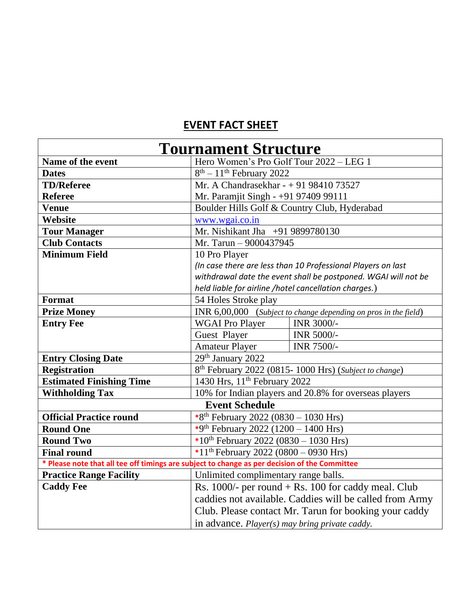## **EVENT FACT SHEET**

| <b>Tournament Structure</b>                                                                   |                                                                   |            |
|-----------------------------------------------------------------------------------------------|-------------------------------------------------------------------|------------|
| Name of the event                                                                             | Hero Women's Pro Golf Tour 2022 - LEG 1                           |            |
| <b>Dates</b>                                                                                  | $8th - 11th$ February 2022                                        |            |
| <b>TD/Referee</b>                                                                             | Mr. A Chandrasekhar - + 91 98410 73527                            |            |
| <b>Referee</b>                                                                                | Mr. Paramjit Singh - +91 97409 99111                              |            |
| <b>Venue</b>                                                                                  | Boulder Hills Golf & Country Club, Hyderabad                      |            |
| Website                                                                                       | www.wgai.co.in                                                    |            |
| <b>Tour Manager</b>                                                                           | Mr. Nishikant Jha +91 9899780130                                  |            |
| <b>Club Contacts</b>                                                                          | Mr. Tarun - 9000437945                                            |            |
| <b>Minimum Field</b>                                                                          | 10 Pro Player                                                     |            |
|                                                                                               | (In case there are less than 10 Professional Players on last      |            |
|                                                                                               | withdrawal date the event shall be postponed. WGAI will not be    |            |
|                                                                                               | held liable for airline /hotel cancellation charges.)             |            |
| <b>Format</b>                                                                                 | 54 Holes Stroke play                                              |            |
| <b>Prize Money</b>                                                                            | INR $6,00,000$ (Subject to change depending on pros in the field) |            |
| <b>Entry Fee</b>                                                                              | <b>WGAI Pro Player</b>                                            | INR 3000/- |
|                                                                                               | Guest Player                                                      | INR 5000/- |
|                                                                                               | <b>Amateur Player</b>                                             | INR 7500/- |
| <b>Entry Closing Date</b>                                                                     | 29th January 2022                                                 |            |
| <b>Registration</b>                                                                           | 8 <sup>th</sup> February 2022 (0815-1000 Hrs) (Subject to change) |            |
| <b>Estimated Finishing Time</b>                                                               | 1430 Hrs, 11 <sup>th</sup> February 2022                          |            |
| <b>Withholding Tax</b>                                                                        | 10% for Indian players and 20.8% for overseas players             |            |
| <b>Event Schedule</b>                                                                         |                                                                   |            |
| <b>Official Practice round</b>                                                                | *8 <sup>th</sup> February 2022 (0830 - 1030 Hrs)                  |            |
| <b>Round One</b>                                                                              | *9 <sup>th</sup> February 2022 (1200 – 1400 Hrs)                  |            |
| <b>Round Two</b>                                                                              | *10 <sup>th</sup> February 2022 (0830 – 1030 Hrs)                 |            |
| <b>Final round</b>                                                                            | *11 <sup>th</sup> February 2022 (0800 - 0930 Hrs)                 |            |
| * Please note that all tee off timings are subject to change as per decision of the Committee |                                                                   |            |
| <b>Practice Range Facility</b>                                                                | Unlimited complimentary range balls.                              |            |
| <b>Caddy Fee</b>                                                                              | Rs. $1000/-$ per round + Rs. 100 for caddy meal. Club             |            |
|                                                                                               | caddies not available. Caddies will be called from Army           |            |
|                                                                                               | Club. Please contact Mr. Tarun for booking your caddy             |            |
|                                                                                               | in advance. <i>Player(s)</i> may bring private caddy.             |            |